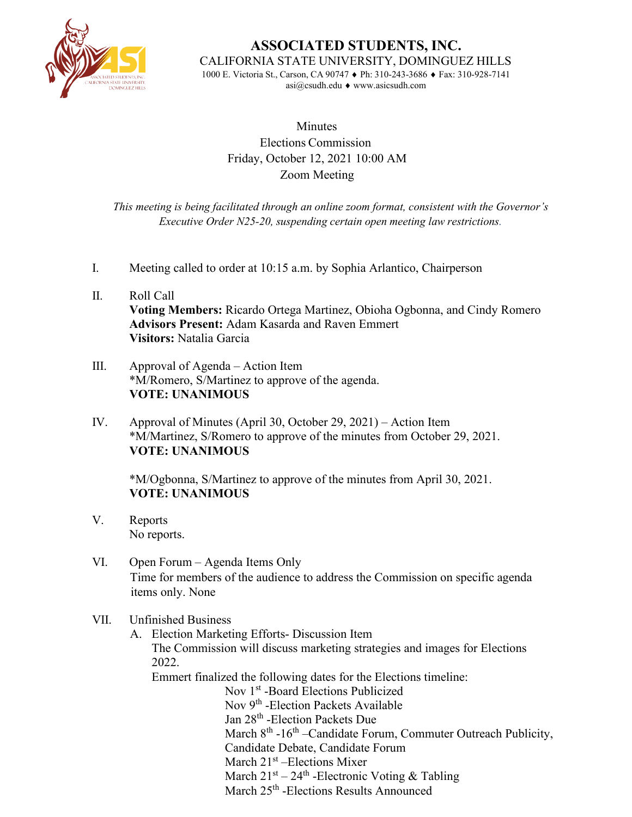

**ASSOCIATED STUDENTS, INC.** CALIFORNIA STATE UNIVERSITY, DOMINGUEZ HILLS

1000 E. Victoria St., Carson, CA 90747 ♦ Ph: 310-243-3686 ♦ Fax: 310-928-7141 [asi@csudh.edu](mailto:asi@csudh.edu) ♦ [www.asicsudh.com](http://www.asicsudh.com/)

## **Minutes** Elections Commission Friday, October 12, 2021 10:00 AM Zoom Meeting

*This meeting is being facilitated through an online zoom format, consistent with the Governor's Executive Order N25-20, suspending certain open meeting law restrictions.*

- I. Meeting called to order at 10:15 a.m. by Sophia Arlantico, Chairperson
- II. Roll Call **Voting Members:** Ricardo Ortega Martinez, Obioha Ogbonna, and Cindy Romero **Advisors Present:** Adam Kasarda and Raven Emmert **Visitors:** Natalia Garcia
- III. Approval of Agenda Action Item \*M/Romero, S/Martinez to approve of the agenda. **VOTE: UNANIMOUS**
- IV. Approval of Minutes (April 30, October 29, 2021) Action Item \*M/Martinez, S/Romero to approve of the minutes from October 29, 2021. **VOTE: UNANIMOUS**

\*M/Ogbonna, S/Martinez to approve of the minutes from April 30, 2021. **VOTE: UNANIMOUS** 

- V. Reports No reports.
- VI. Open Forum Agenda Items Only Time for members of the audience to address the Commission on specific agenda items only. None

## VII. Unfinished Business

A. Election Marketing Efforts- Discussion Item The Commission will discuss marketing strategies and images for Elections 2022.

Emmert finalized the following dates for the Elections timeline: Nov 1<sup>st</sup> -Board Elections Publicized Nov 9<sup>th</sup> -Election Packets Available Jan 28<sup>th</sup> -Election Packets Due March  $8<sup>th</sup>$  -16<sup>th</sup> –Candidate Forum, Commuter Outreach Publicity, Candidate Debate, Candidate Forum March  $21<sup>st</sup>$  –Elections Mixer March  $21^{st} - 24^{th}$  -Electronic Voting & Tabling March 25<sup>th</sup> -Elections Results Announced